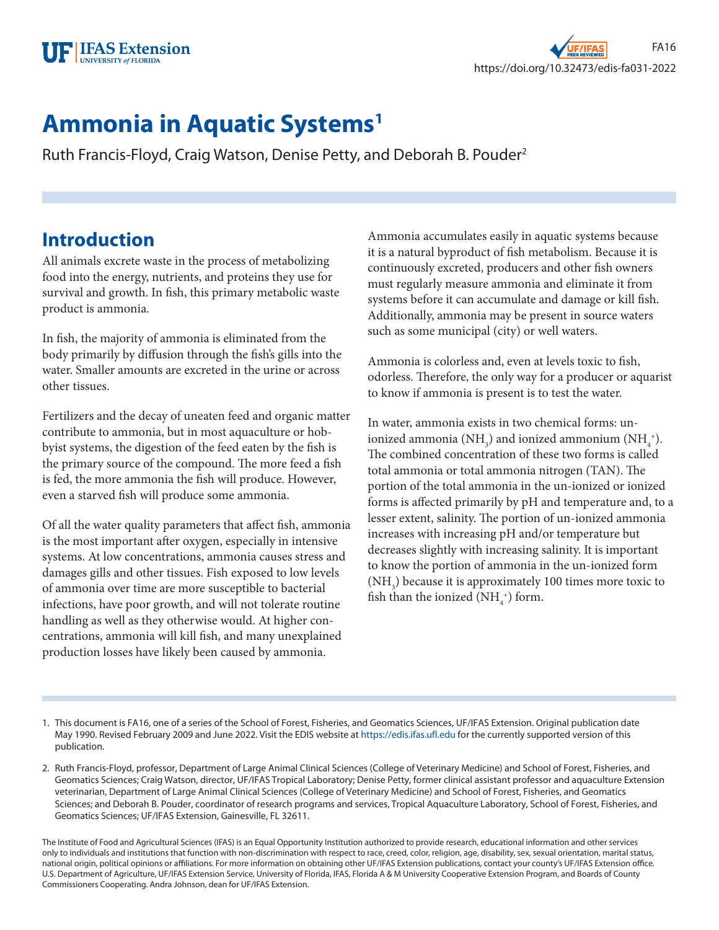

# **Ammonia in Aquatic Systems1**

Ruth Francis-Floyd, Craig Watson, Denise Petty, and Deborah B. Pouder2

### **Introduction**

All animals excrete waste in the process of metabolizing food into the energy, nutrients, and proteins they use for survival and growth. In fish, this primary metabolic waste product is ammonia.

In fish, the majority of ammonia is eliminated from the body primarily by diffusion through the fish's gills into the water. Smaller amounts are excreted in the urine or across other tissues.

Fertilizers and the decay of uneaten feed and organic matter contribute to ammonia, but in most aquaculture or hobbyist systems, the digestion of the feed eaten by the fish is the primary source of the compound. The more feed a fish is fed, the more ammonia the fish will produce. However, even a starved fish will produce some ammonia.

Of all the water quality parameters that affect fish, ammonia is the most important after oxygen, especially in intensive systems. At low concentrations, ammonia causes stress and damages gills and other tissues. Fish exposed to low levels of ammonia over time are more susceptible to bacterial infections, have poor growth, and will not tolerate routine handling as well as they otherwise would. At higher concentrations, ammonia will kill fish, and many unexplained production losses have likely been caused by ammonia.

Ammonia accumulates easily in aquatic systems because it is a natural byproduct of fish metabolism. Because it is continuously excreted, producers and other fish owners must regularly measure ammonia and eliminate it from systems before it can accumulate and damage or kill fish. Additionally, ammonia may be present in source waters such as some municipal (city) or well waters.

Ammonia is colorless and, even at levels toxic to fish, odorless. Therefore, the only way for a producer or aquarist to know if ammonia is present is to test the water.

In water, ammonia exists in two chemical forms: unionized ammonia (NH<sub>3</sub>) and ionized ammonium (NH<sub>4</sub><sup>+</sup>). The combined concentration of these two forms is called total ammonia or total ammonia nitrogen (TAN). The portion of the total ammonia in the un-ionized or ionized forms is affected primarily by pH and temperature and, to a lesser extent, salinity. The portion of un-ionized ammonia increases with increasing pH and/or temperature but decreases slightly with increasing salinity. It is important to know the portion of ammonia in the un-ionized form  $(\mathrm{NH}_3)$  because it is approximately 100 times more toxic to fish than the ionized  $(\text{NH}_4^+)$  form.

- 1. This document is FA16, one of a series of the School of Forest, Fisheries, and Geomatics Sciences, UF/IFAS Extension. Original publication date May 1990. Revised February 2009 and June 2022. Visit the EDIS website at<https://edis.ifas.ufl.edu> for the currently supported version of this publication.
- 2. Ruth Francis-Floyd, professor, Department of Large Animal Clinical Sciences (College of Veterinary Medicine) and School of Forest, Fisheries, and Geomatics Sciences; Craig Watson, director, UF/IFAS Tropical Laboratory; Denise Petty, former clinical assistant professor and aquaculture Extension veterinarian, Department of Large Animal Clinical Sciences (College of Veterinary Medicine) and School of Forest, Fisheries, and Geomatics Sciences; and Deborah B. Pouder, coordinator of research programs and services, Tropical Aquaculture Laboratory, School of Forest, Fisheries, and Geomatics Sciences; UF/IFAS Extension, Gainesville, FL 32611.

The Institute of Food and Agricultural Sciences (IFAS) is an Equal Opportunity Institution authorized to provide research, educational information and other services only to individuals and institutions that function with non-discrimination with respect to race, creed, color, religion, age, disability, sex, sexual orientation, marital status, national origin, political opinions or affiliations. For more information on obtaining other UF/IFAS Extension publications, contact your county's UF/IFAS Extension office. U.S. Department of Agriculture, UF/IFAS Extension Service, University of Florida, IFAS, Florida A & M University Cooperative Extension Program, and Boards of County Commissioners Cooperating. Andra Johnson, dean for UF/IFAS Extension.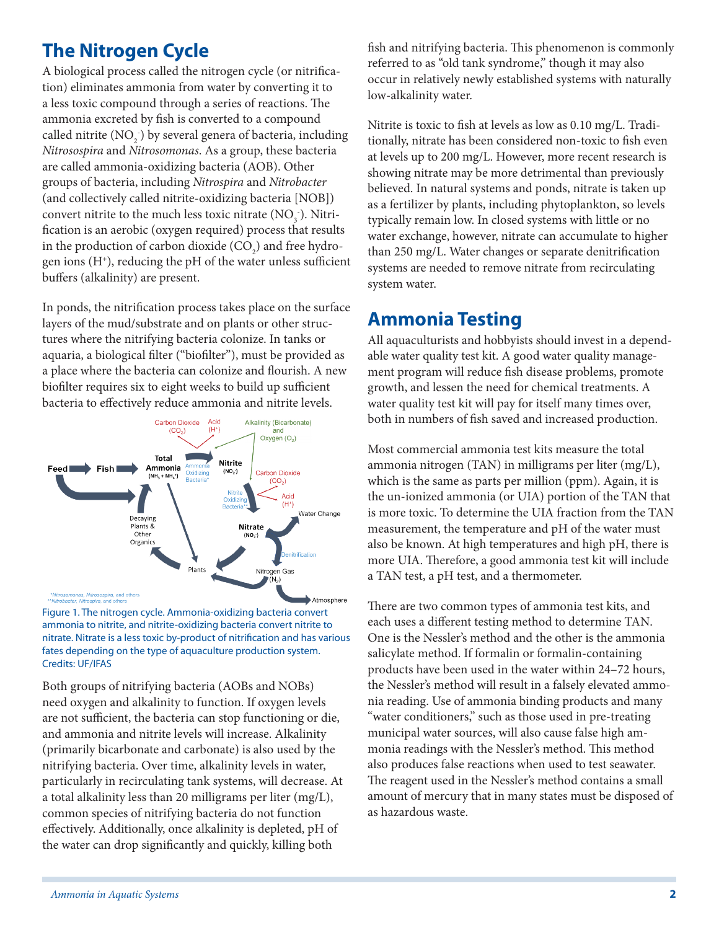# **The Nitrogen Cycle**

A biological process called the nitrogen cycle (or nitrification) eliminates ammonia from water by converting it to a less toxic compound through a series of reactions. The ammonia excreted by fish is converted to a compound called nitrite  $(\text{NO}_2)$  by several genera of bacteria, including *Nitrosospira* and *Nitrosomonas*. As a group, these bacteria are called ammonia-oxidizing bacteria (AOB). Other groups of bacteria, including *Nitrospira* and *Nitrobacter* (and collectively called nitrite-oxidizing bacteria [NOB]) convert nitrite to the much less toxic nitrate  $(\text{NO}_3^-)$ . Nitrification is an aerobic (oxygen required) process that results in the production of carbon dioxide  $({\rm CO}_2)$  and free hydrogen ions  $(H^*)$ , reducing the pH of the water unless sufficient buffers (alkalinity) are present.

In ponds, the nitrification process takes place on the surface layers of the mud/substrate and on plants or other structures where the nitrifying bacteria colonize. In tanks or aquaria, a biological filter ("biofilter"), must be provided as a place where the bacteria can colonize and flourish. A new biofilter requires six to eight weeks to build up sufficient bacteria to effectively reduce ammonia and nitrite levels.



Figure 1. The nitrogen cycle. Ammonia-oxidizing bacteria convert ammonia to nitrite, and nitrite-oxidizing bacteria convert nitrite to nitrate. Nitrate is a less toxic by-product of nitrification and has various fates depending on the type of aquaculture production system. Credits: UF/IFAS

Both groups of nitrifying bacteria (AOBs and NOBs) need oxygen and alkalinity to function. If oxygen levels are not sufficient, the bacteria can stop functioning or die, and ammonia and nitrite levels will increase. Alkalinity (primarily bicarbonate and carbonate) is also used by the nitrifying bacteria. Over time, alkalinity levels in water, particularly in recirculating tank systems, will decrease. At a total alkalinity less than 20 milligrams per liter (mg/L), common species of nitrifying bacteria do not function effectively. Additionally, once alkalinity is depleted, pH of the water can drop significantly and quickly, killing both

fish and nitrifying bacteria. This phenomenon is commonly referred to as "old tank syndrome," though it may also occur in relatively newly established systems with naturally low-alkalinity water.

Nitrite is toxic to fish at levels as low as 0.10 mg/L. Traditionally, nitrate has been considered non-toxic to fish even at levels up to 200 mg/L. However, more recent research is showing nitrate may be more detrimental than previously believed. In natural systems and ponds, nitrate is taken up as a fertilizer by plants, including phytoplankton, so levels typically remain low. In closed systems with little or no water exchange, however, nitrate can accumulate to higher than 250 mg/L. Water changes or separate denitrification systems are needed to remove nitrate from recirculating system water.

### **Ammonia Testing**

All aquaculturists and hobbyists should invest in a dependable water quality test kit. A good water quality management program will reduce fish disease problems, promote growth, and lessen the need for chemical treatments. A water quality test kit will pay for itself many times over, both in numbers of fish saved and increased production.

Most commercial ammonia test kits measure the total ammonia nitrogen (TAN) in milligrams per liter (mg/L), which is the same as parts per million (ppm). Again, it is the un-ionized ammonia (or UIA) portion of the TAN that is more toxic. To determine the UIA fraction from the TAN measurement, the temperature and pH of the water must also be known. At high temperatures and high pH, there is more UIA. Therefore, a good ammonia test kit will include a TAN test, a pH test, and a thermometer.

There are two common types of ammonia test kits, and each uses a different testing method to determine TAN. One is the Nessler's method and the other is the ammonia salicylate method. If formalin or formalin-containing products have been used in the water within 24–72 hours, the Nessler's method will result in a falsely elevated ammonia reading. Use of ammonia binding products and many "water conditioners," such as those used in pre-treating municipal water sources, will also cause false high ammonia readings with the Nessler's method. This method also produces false reactions when used to test seawater. The reagent used in the Nessler's method contains a small amount of mercury that in many states must be disposed of as hazardous waste.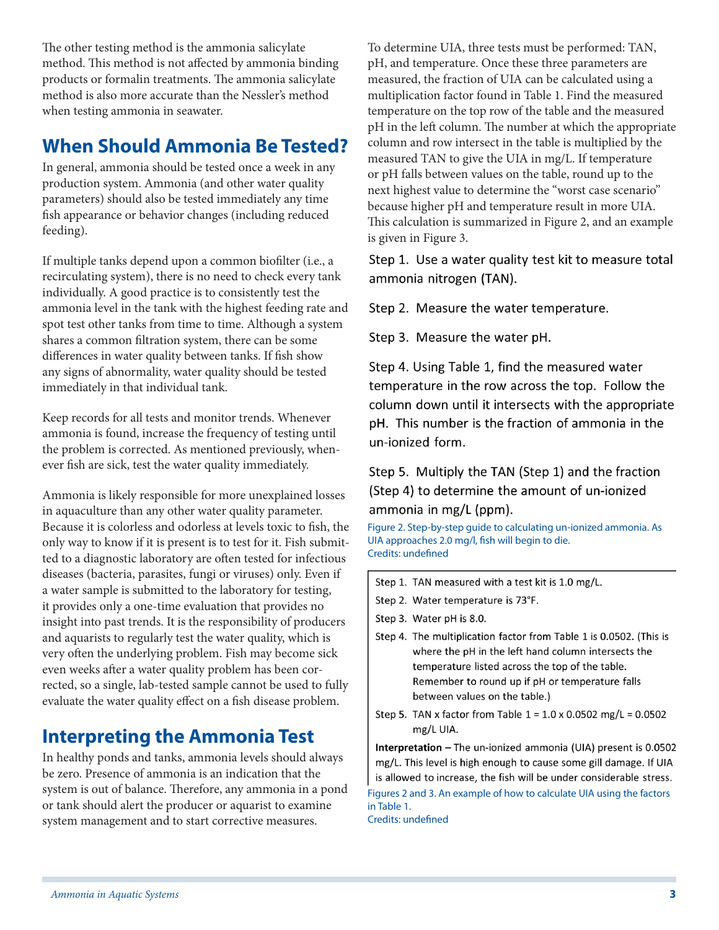The other testing method is the ammonia salicylate method. This method is not affected by ammonia binding products or formalin treatments. The ammonia salicylate method is also more accurate than the Nessler's method when testing ammonia in seawater.

## **When Should Ammonia Be Tested?**

In general, ammonia should be tested once a week in any production system. Ammonia (and other water quality parameters) should also be tested immediately any time fish appearance or behavior changes (including reduced feeding).

If multiple tanks depend upon a common biofilter (i.e., a recirculating system), there is no need to check every tank individually. A good practice is to consistently test the ammonia level in the tank with the highest feeding rate and spot test other tanks from time to time. Although a system shares a common filtration system, there can be some differences in water quality between tanks. If fish show any signs of abnormality, water quality should be tested immediately in that individual tank.

Keep records for all tests and monitor trends. Whenever ammonia is found, increase the frequency of testing until the problem is corrected. As mentioned previously, whenever fish are sick, test the water quality immediately.

Ammonia is likely responsible for more unexplained losses in aquaculture than any other water quality parameter. Because it is colorless and odorless at levels toxic to fish, the only way to know if it is present is to test for it. Fish submitted to a diagnostic laboratory are often tested for infectious diseases (bacteria, parasites, fungi or viruses) only. Even if a water sample is submitted to the laboratory for testing, it provides only a one-time evaluation that provides no insight into past trends. It is the responsibility of producers and aquarists to regularly test the water quality, which is very often the underlying problem. Fish may become sick even weeks after a water quality problem has been corrected, so a single, lab-tested sample cannot be used to fully evaluate the water quality effect on a fish disease problem.

# **Interpreting the Ammonia Test**

In healthy ponds and tanks, ammonia levels should always be zero. Presence of ammonia is an indication that the system is out of balance. Therefore, any ammonia in a pond or tank should alert the producer or aquarist to examine system management and to start corrective measures.

To determine UIA, three tests must be performed: TAN, pH, and temperature. Once these three parameters are measured, the fraction of UIA can be calculated using a multiplication factor found in Table 1. Find the measured temperature on the top row of the table and the measured pH in the left column. The number at which the appropriate column and row intersect in the table is multiplied by the measured TAN to give the UIA in mg/L. If temperature or pH falls between values on the table, round up to the next highest value to determine the "worst case scenario" because higher pH and temperature result in more UIA. This calculation is summarized in Figure 2, and an example is given in Figure 3.

Step 1. Use a water quality test kit to measure total ammonia nitrogen (TAN).

Step 2. Measure the water temperature.

Step 3. Measure the water pH.

Step 4. Using Table 1, find the measured water temperature in the row across the top. Follow the column down until it intersects with the appropriate pH. This number is the fraction of ammonia in the un-ionized form.

Step 5. Multiply the TAN (Step 1) and the fraction (Step 4) to determine the amount of un-ionized ammonia in mg/L (ppm).

Figure 2. Step-by-step guide to calculating un-ionized ammonia. As UIA approaches 2.0 mg/l, fish will begin to die. Credits: undefined

- Step 1. TAN measured with a test kit is 1.0 mg/L.
- Step 2. Water temperature is 73°F.
- Step 3. Water pH is 8.0.
- Step 4. The multiplication factor from Table 1 is 0.0502. (This is where the pH in the left hand column intersects the temperature listed across the top of the table. Remember to round up if pH or temperature falls between values on the table.)
- Step 5. TAN x factor from Table  $1 = 1.0$  x 0.0502 mg/L = 0.0502 mg/L UIA.

Interpretation - The un-ionized ammonia (UIA) present is 0.0502 mg/L. This level is high enough to cause some gill damage. If UIA is allowed to increase, the fish will be under considerable stress. Figures 2 and 3. An example of how to calculate UIA using the factors in Table 1.

Credits: undefined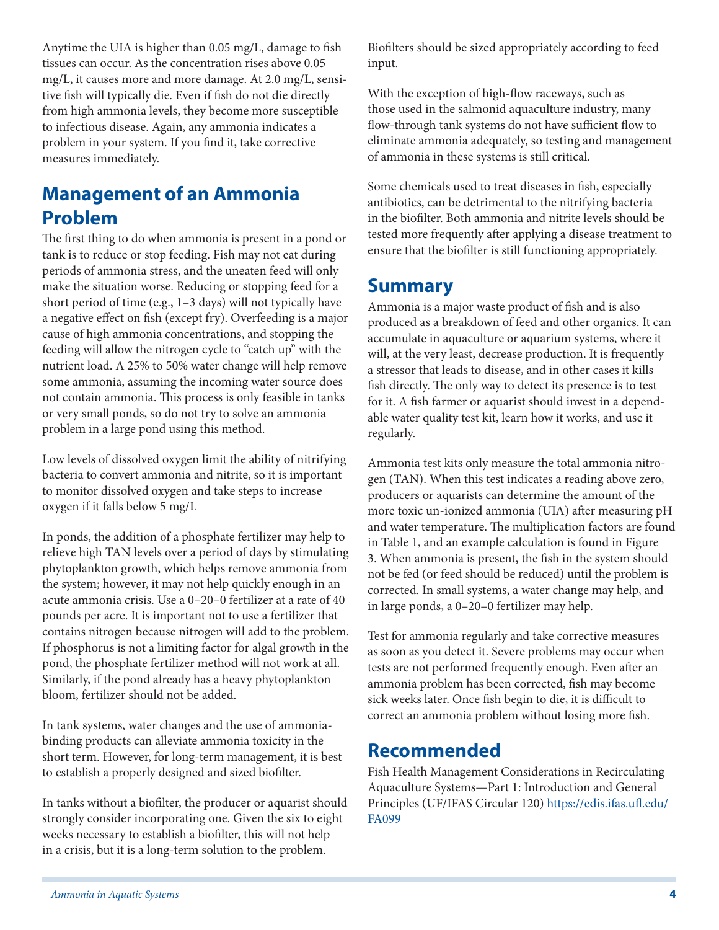Anytime the UIA is higher than 0.05 mg/L, damage to fish tissues can occur. As the concentration rises above 0.05 mg/L, it causes more and more damage. At 2.0 mg/L, sensitive fish will typically die. Even if fish do not die directly from high ammonia levels, they become more susceptible to infectious disease. Again, any ammonia indicates a problem in your system. If you find it, take corrective measures immediately.

## **Management of an Ammonia Problem**

The first thing to do when ammonia is present in a pond or tank is to reduce or stop feeding. Fish may not eat during periods of ammonia stress, and the uneaten feed will only make the situation worse. Reducing or stopping feed for a short period of time (e.g., 1–3 days) will not typically have a negative effect on fish (except fry). Overfeeding is a major cause of high ammonia concentrations, and stopping the feeding will allow the nitrogen cycle to "catch up" with the nutrient load. A 25% to 50% water change will help remove some ammonia, assuming the incoming water source does not contain ammonia. This process is only feasible in tanks or very small ponds, so do not try to solve an ammonia problem in a large pond using this method.

Low levels of dissolved oxygen limit the ability of nitrifying bacteria to convert ammonia and nitrite, so it is important to monitor dissolved oxygen and take steps to increase oxygen if it falls below 5 mg/L

In ponds, the addition of a phosphate fertilizer may help to relieve high TAN levels over a period of days by stimulating phytoplankton growth, which helps remove ammonia from the system; however, it may not help quickly enough in an acute ammonia crisis. Use a 0–20–0 fertilizer at a rate of 40 pounds per acre. It is important not to use a fertilizer that contains nitrogen because nitrogen will add to the problem. If phosphorus is not a limiting factor for algal growth in the pond, the phosphate fertilizer method will not work at all. Similarly, if the pond already has a heavy phytoplankton bloom, fertilizer should not be added.

In tank systems, water changes and the use of ammoniabinding products can alleviate ammonia toxicity in the short term. However, for long-term management, it is best to establish a properly designed and sized biofilter.

In tanks without a biofilter, the producer or aquarist should strongly consider incorporating one. Given the six to eight weeks necessary to establish a biofilter, this will not help in a crisis, but it is a long-term solution to the problem.

Biofilters should be sized appropriately according to feed input.

With the exception of high-flow raceways, such as those used in the salmonid aquaculture industry, many flow-through tank systems do not have sufficient flow to eliminate ammonia adequately, so testing and management of ammonia in these systems is still critical.

Some chemicals used to treat diseases in fish, especially antibiotics, can be detrimental to the nitrifying bacteria in the biofilter. Both ammonia and nitrite levels should be tested more frequently after applying a disease treatment to ensure that the biofilter is still functioning appropriately.

### **Summary**

Ammonia is a major waste product of fish and is also produced as a breakdown of feed and other organics. It can accumulate in aquaculture or aquarium systems, where it will, at the very least, decrease production. It is frequently a stressor that leads to disease, and in other cases it kills fish directly. The only way to detect its presence is to test for it. A fish farmer or aquarist should invest in a dependable water quality test kit, learn how it works, and use it regularly.

Ammonia test kits only measure the total ammonia nitrogen (TAN). When this test indicates a reading above zero, producers or aquarists can determine the amount of the more toxic un-ionized ammonia (UIA) after measuring pH and water temperature. The multiplication factors are found in Table 1, and an example calculation is found in Figure 3. When ammonia is present, the fish in the system should not be fed (or feed should be reduced) until the problem is corrected. In small systems, a water change may help, and in large ponds, a 0–20–0 fertilizer may help.

Test for ammonia regularly and take corrective measures as soon as you detect it. Severe problems may occur when tests are not performed frequently enough. Even after an ammonia problem has been corrected, fish may become sick weeks later. Once fish begin to die, it is difficult to correct an ammonia problem without losing more fish.

# **Recommended**

Fish Health Management Considerations in Recirculating Aquaculture Systems—Part 1: Introduction and General Principles (UF/IFAS Circular 120) [https://edis.ifas.ufl.edu/](https://edis.ifas.ufl.edu/FA099) [FA099](https://edis.ifas.ufl.edu/FA099)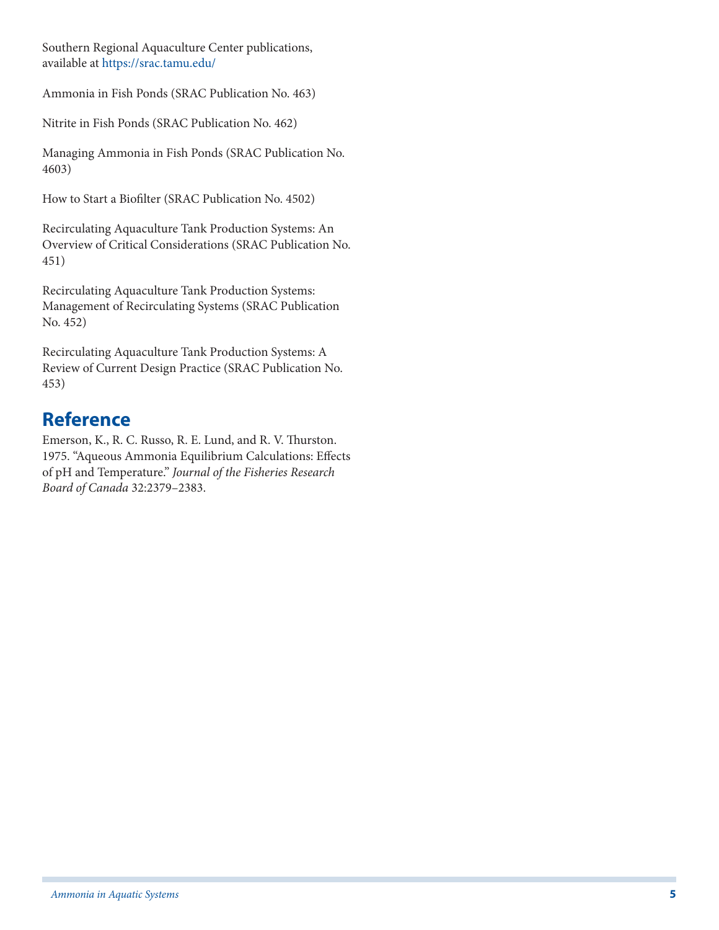Southern Regional Aquaculture Center publications, available at <https://srac.tamu.edu/>

Ammonia in Fish Ponds (SRAC Publication No. 463)

Nitrite in Fish Ponds (SRAC Publication No. 462)

Managing Ammonia in Fish Ponds (SRAC Publication No. 4603)

How to Start a Biofilter (SRAC Publication No. 4502)

Recirculating Aquaculture Tank Production Systems: An Overview of Critical Considerations (SRAC Publication No. 451)

Recirculating Aquaculture Tank Production Systems: Management of Recirculating Systems (SRAC Publication No. 452)

Recirculating Aquaculture Tank Production Systems: A Review of Current Design Practice (SRAC Publication No. 453)

# **Reference**

Emerson, K., R. C. Russo, R. E. Lund, and R. V. Thurston. 1975. "Aqueous Ammonia Equilibrium Calculations: Effects of pH and Temperature." *Journal of the Fisheries Research Board of Canada* 32:2379–2383.